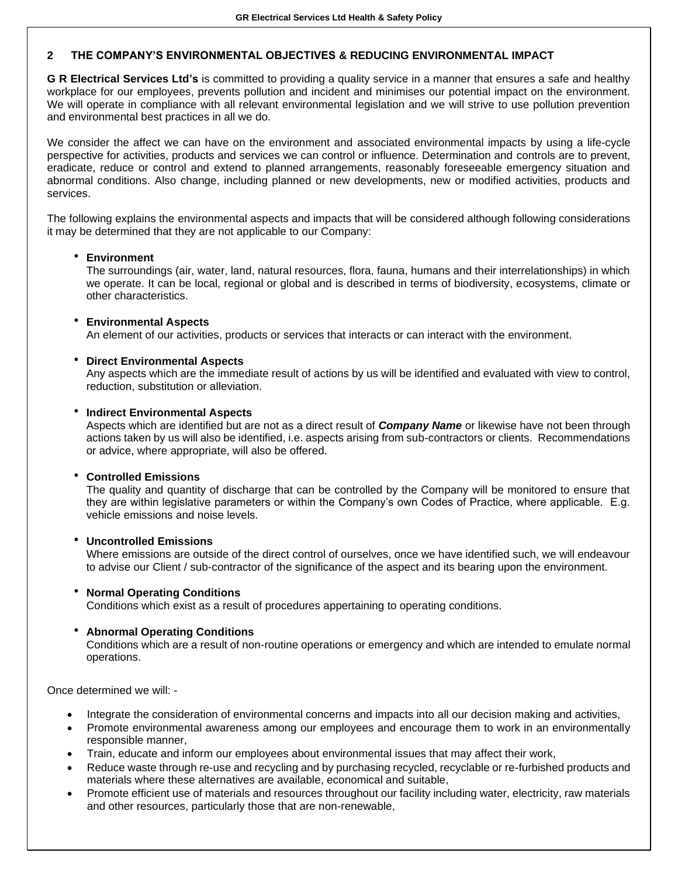# **2 THE COMPANY'S ENVIRONMENTAL OBJECTIVES & REDUCING ENVIRONMENTAL IMPACT**

**G R Electrical Services Ltd's** is committed to providing a quality service in a manner that ensures a safe and healthy workplace for our employees, prevents pollution and incident and minimises our potential impact on the environment. We will operate in compliance with all relevant environmental legislation and we will strive to use pollution prevention and environmental best practices in all we do.

We consider the affect we can have on the environment and associated environmental impacts by using a life-cycle perspective for activities, products and services we can control or influence. Determination and controls are to prevent, eradicate, reduce or control and extend to planned arrangements, reasonably foreseeable emergency situation and abnormal conditions. Also change, including planned or new developments, new or modified activities, products and services.

The following explains the environmental aspects and impacts that will be considered although following considerations it may be determined that they are not applicable to our Company:

## **Environment**

The surroundings (air, water, land, natural resources, flora, fauna, humans and their interrelationships) in which we operate. It can be local, regional or global and is described in terms of biodiversity, ecosystems, climate or other characteristics.

#### **Environmental Aspects**

An element of our activities, products or services that interacts or can interact with the environment.

#### **Direct Environmental Aspects**

Any aspects which are the immediate result of actions by us will be identified and evaluated with view to control, reduction, substitution or alleviation.

## **Indirect Environmental Aspects**

Aspects which are identified but are not as a direct result of *Company Name* or likewise have not been through actions taken by us will also be identified, i.e. aspects arising from sub-contractors or clients. Recommendations or advice, where appropriate, will also be offered.

#### **Controlled Emissions**

The quality and quantity of discharge that can be controlled by the Company will be monitored to ensure that they are within legislative parameters or within the Company's own Codes of Practice, where applicable. E.g. vehicle emissions and noise levels.

#### **Uncontrolled Emissions**

Where emissions are outside of the direct control of ourselves, once we have identified such, we will endeavour to advise our Client / sub-contractor of the significance of the aspect and its bearing upon the environment.

#### **Normal Operating Conditions**

Conditions which exist as a result of procedures appertaining to operating conditions.

# **Abnormal Operating Conditions**

Conditions which are a result of non-routine operations or emergency and which are intended to emulate normal operations.

Once determined we will: -

- Integrate the consideration of environmental concerns and impacts into all our decision making and activities,
- Promote environmental awareness among our employees and encourage them to work in an environmentally responsible manner,
- Train, educate and inform our employees about environmental issues that may affect their work,
- Reduce waste through re-use and recycling and by purchasing recycled, recyclable or re-furbished products and materials where these alternatives are available, economical and suitable,
- Promote efficient use of materials and resources throughout our facility including water, electricity, raw materials and other resources, particularly those that are non-renewable,